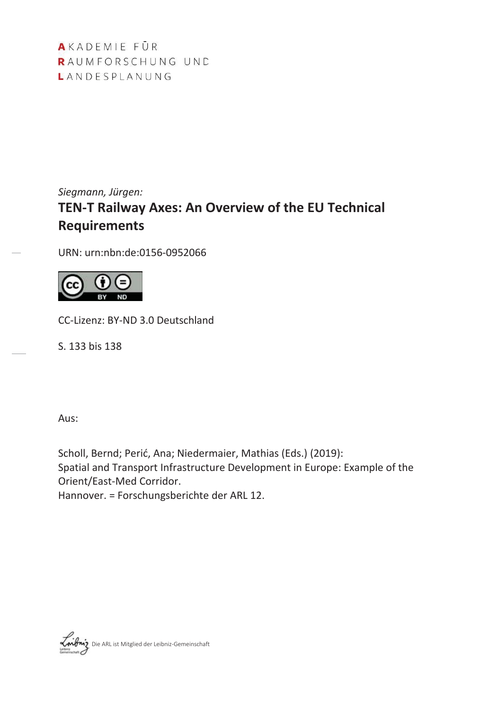AKADEMIE FÜR RAUMFORSCHUNG UND LANDESPLANUNG

# *Siegmann, Jürgen:* **TEN-T Railway Axes: An Overview of the EU Technical Requirements**

URN: urn:nbn:de:0156-0952066



CC-Lizenz: BY-ND 3.0 Deutschland

S. 133 bis 138

Aus:

Scholl, Bernd; Perić, Ana; Niedermaier, Mathias (Eds.) (2019): Spatial and Transport Infrastructure Development in Europe: Example of the Orient/East-Med Corridor.

Hannover. = Forschungsberichte der ARL 12.

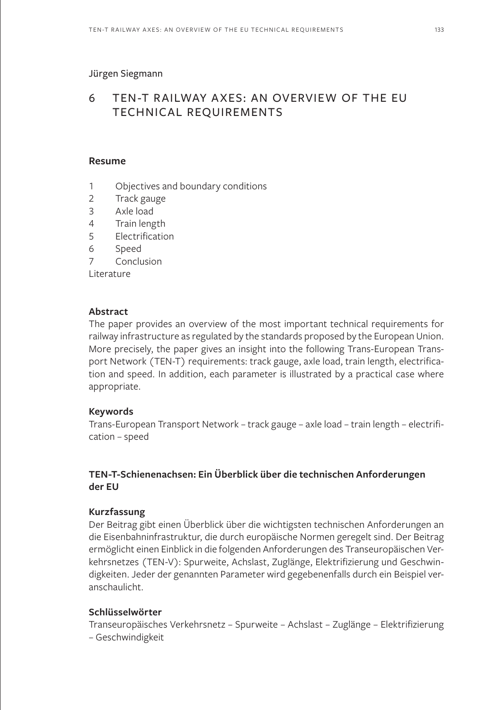#### Jürgen Siegmann

#### 6 TEN-T RAILWAY AXES: AN OVERVIEW OF THE EU TECHNICAL REQUIREMENTS TECHNICAL REQUIREMENTS

#### **Resume**

- 1 Objectives and boundary conditions
- 2 Track gauge
- 3 Axle load
- 4 Train length
- 5 Electrification
- 6 Speed
- 7 Conclusion

Literature

### **Abstract**

The paper provides an overview of the most important technical requirements for railway infrastructure as regulated by the standards proposed by the European Union. More precisely, the paper gives an insight into the following Trans-European Transport Network (TEN-T) requirements: track gauge, axle load, train length, electrification and speed. In addition, each parameter is illustrated by a practical case where appropriate.

### **Keywords**

Trans-European Transport Network – track gauge – axle load – train length – electrification – speed

# **TEN-T-Schienenachsen: Ein Überblick über die technischen Anforderungen der EU**

### **Kurzfassung**

Der Beitrag gibt einen Überblick über die wichtigsten technischen Anforderungen an die Eisenbahninfrastruktur, die durch europäische Normen geregelt sind. Der Beitrag ermöglicht einen Einblick in die folgenden Anforderungen des Transeuropäischen Verkehrsnetzes (TEN-V): Spurweite, Achslast, Zuglänge, Elektrifizierung und Geschwindigkeiten. Jeder der genannten Parameter wird gegebenenfalls durch ein Beispiel veranschaulicht.

# **Schlüsselwörter**

Transeuropäisches Verkehrsnetz – Spurweite – Achslast – Zuglänge – Elektrifizierung – Geschwindigkeit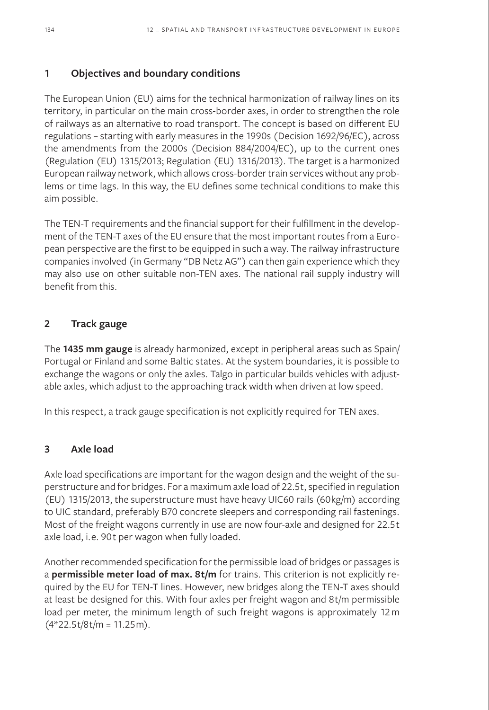# **1 Objectives and boundary conditions**

The European Union (EU) aims for the technical harmonization of railway lines on its territory, in particular on the main cross-border axes, in order to strengthen the role of railways as an alternative to road transport. The concept is based on different EU regulations – starting with early measures in the 1990s (Decision 1692/96/EC), across the amendments from the 2000s (Decision 884/2004/EC), up to the current ones (Regulation (EU) 1315/2013; Regulation (EU) 1316/2013). The target is a harmonized European railway network, which allows cross-border train services without any problems or time lags. In this way, the EU defines some technical conditions to make this aim possible.

The TEN-T requirements and the financial support for their fulfillment in the development of the TEN-T axes of the EU ensure that the most important routes from a European perspective are the first to be equipped in such a way. The railway infrastructure companies involved (in Germany "DB Netz AG") can then gain experience which they may also use on other suitable non-TEN axes. The national rail supply industry will benefit from this.

# **2 Track gauge**

The **1435 mm gauge** is already harmonized, except in peripheral areas such as Spain/ Portugal or Finland and some Baltic states. At the system boundaries, it is possible to exchange the wagons or only the axles. Talgo in particular builds vehicles with adjustable axles, which adjust to the approaching track width when driven at low speed.

In this respect, a track gauge specification is not explicitly required for TEN axes.

# **3 Axle load**

Axle load specifications are important for the wagon design and the weight of the superstructure and for bridges. For a maximum axle load of 22.5t, specified in regulation (EU) 1315/2013, the superstructure must have heavy UIC60 rails (60kg/m) according to UIC standard, preferably B70 concrete sleepers and corresponding rail fastenings. Most of the freight wagons currently in use are now four-axle and designed for 22.5t axle load, i.e. 90t per wagon when fully loaded.

Another recommended specification for the permissible load of bridges or passages is a **permissible meter load of max. 8t/m** for trains. This criterion is not explicitly required by the EU for TEN-T lines. However, new bridges along the TEN-T axes should at least be designed for this. With four axles per freight wagon and 8t/m permissible load per meter, the minimum length of such freight wagons is approximately 12m  $(4*22.5t/8t/m = 11.25m)$ .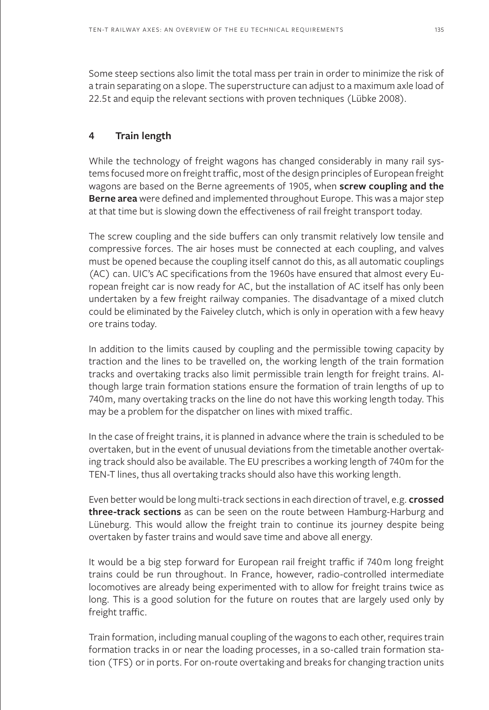Some steep sections also limit the total mass per train in order to minimize the risk of a train separating on a slope. The superstructure can adjust to a maximum axle load of 22.5t and equip the relevant sections with proven techniques (Lübke 2008).

## **4 Train length**

While the technology of freight wagons has changed considerably in many rail systems focused more on freight traffic, most of the design principles of European freight wagons are based on the Berne agreements of 1905, when **screw coupling and the Berne area** were defined and implemented throughout Europe. This was a major step at that time but is slowing down the effectiveness of rail freight transport today.

The screw coupling and the side buffers can only transmit relatively low tensile and compressive forces. The air hoses must be connected at each coupling, and valves must be opened because the coupling itself cannot do this, as all automatic couplings (AC) can. UIC's AC specifications from the 1960s have ensured that almost every European freight car is now ready for AC, but the installation of AC itself has only been undertaken by a few freight railway companies. The disadvantage of a mixed clutch could be eliminated by the Faiveley clutch, which is only in operation with a few heavy ore trains today.

In addition to the limits caused by coupling and the permissible towing capacity by traction and the lines to be travelled on, the working length of the train formation tracks and overtaking tracks also limit permissible train length for freight trains. Although large train formation stations ensure the formation of train lengths of up to 740m, many overtaking tracks on the line do not have this working length today. This may be a problem for the dispatcher on lines with mixed traffic.

In the case of freight trains, it is planned in advance where the train is scheduled to be overtaken, but in the event of unusual deviations from the timetable another overtaking track should also be available. The EU prescribes a working length of 740m for the TEN-T lines, thus all overtaking tracks should also have this working length.

Even better would be long multi-track sections in each direction of travel, e.g. **crossed three-track sections** as can be seen on the route between Hamburg-Harburg and Lüneburg. This would allow the freight train to continue its journey despite being overtaken by faster trains and would save time and above all energy.

It would be a big step forward for European rail freight traffic if 740m long freight trains could be run throughout. In France, however, radio-controlled intermediate locomotives are already being experimented with to allow for freight trains twice as long. This is a good solution for the future on routes that are largely used only by freight traffic.

Train formation, including manual coupling of the wagons to each other, requires train formation tracks in or near the loading processes, in a so-called train formation station (TFS) or in ports. For on-route overtaking and breaks for changing traction units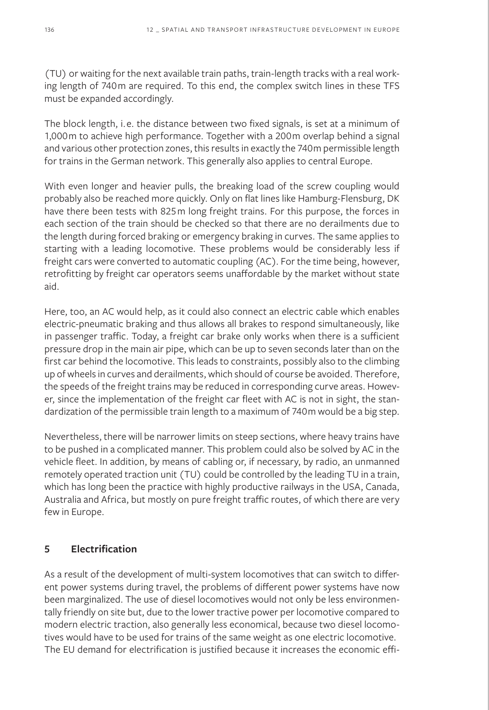(TU) or waiting for the next available train paths, train-length tracks with a real working length of 740m are required. To this end, the complex switch lines in these TFS must be expanded accordingly.

The block length, i.e. the distance between two fixed signals, is set at a minimum of 1,000m to achieve high performance. Together with a 200m overlap behind a signal and various other protection zones, this results in exactly the 740m permissible length for trains in the German network. This generally also applies to central Europe.

With even longer and heavier pulls, the breaking load of the screw coupling would probably also be reached more quickly. Only on flat lines like Hamburg-Flensburg, DK have there been tests with 825m long freight trains. For this purpose, the forces in each section of the train should be checked so that there are no derailments due to the length during forced braking or emergency braking in curves. The same applies to starting with a leading locomotive. These problems would be considerably less if freight cars were converted to automatic coupling (AC). For the time being, however, retrofitting by freight car operators seems unaffordable by the market without state aid.

Here, too, an AC would help, as it could also connect an electric cable which enables electric-pneumatic braking and thus allows all brakes to respond simultaneously, like in passenger traffic. Today, a freight car brake only works when there is a sufficient pressure drop in the main air pipe, which can be up to seven seconds later than on the first car behind the locomotive. This leads to constraints, possibly also to the climbing up of wheels in curves and derailments, which should of course be avoided. Therefore, the speeds of the freight trains may be reduced in corresponding curve areas. However, since the implementation of the freight car fleet with AC is not in sight, the standardization of the permissible train length to a maximum of 740m would be a big step.

Nevertheless, there will be narrower limits on steep sections, where heavy trains have to be pushed in a complicated manner. This problem could also be solved by AC in the vehicle fleet. In addition, by means of cabling or, if necessary, by radio, an unmanned remotely operated traction unit (TU) could be controlled by the leading TU in a train, which has long been the practice with highly productive railways in the USA, Canada, Australia and Africa, but mostly on pure freight traffic routes, of which there are very few in Europe.

# **5 Electrification**

As a result of the development of multi-system locomotives that can switch to different power systems during travel, the problems of different power systems have now been marginalized. The use of diesel locomotives would not only be less environmentally friendly on site but, due to the lower tractive power per locomotive compared to modern electric traction, also generally less economical, because two diesel locomotives would have to be used for trains of the same weight as one electric locomotive. The EU demand for electrification is justified because it increases the economic effi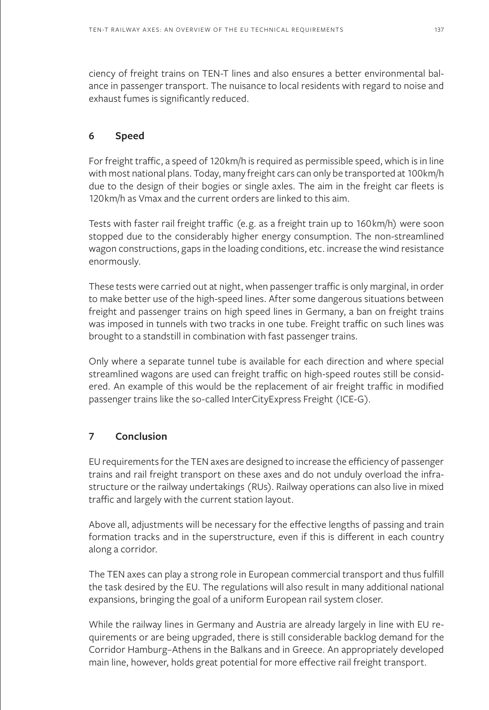ciency of freight trains on TEN-T lines and also ensures a better environmental balance in passenger transport. The nuisance to local residents with regard to noise and exhaust fumes is significantly reduced.

# **6 Speed**

For freight traffic, a speed of 120km/h is required as permissible speed, which is in line with most national plans. Today, many freight cars can only be transported at 100km/h due to the design of their bogies or single axles. The aim in the freight car fleets is 120km/h as Vmax and the current orders are linked to this aim.

Tests with faster rail freight traffic (e.g. as a freight train up to 160km/h) were soon stopped due to the considerably higher energy consumption. The non-streamlined wagon constructions, gaps in the loading conditions, etc. increase the wind resistance enormously.

These tests were carried out at night, when passenger traffic is only marginal, in order to make better use of the high-speed lines. After some dangerous situations between freight and passenger trains on high speed lines in Germany, a ban on freight trains was imposed in tunnels with two tracks in one tube. Freight traffic on such lines was brought to a standstill in combination with fast passenger trains.

Only where a separate tunnel tube is available for each direction and where special streamlined wagons are used can freight traffic on high-speed routes still be considered. An example of this would be the replacement of air freight traffic in modified passenger trains like the so-called InterCityExpress Freight (ICE-G).

# **7 Conclusion**

EU requirements for the TEN axes are designed to increase the efficiency of passenger trains and rail freight transport on these axes and do not unduly overload the infrastructure or the railway undertakings (RUs). Railway operations can also live in mixed traffic and largely with the current station layout.

Above all, adjustments will be necessary for the effective lengths of passing and train formation tracks and in the superstructure, even if this is different in each country along a corridor.

The TEN axes can play a strong role in European commercial transport and thus fulfill the task desired by the EU. The regulations will also result in many additional national expansions, bringing the goal of a uniform European rail system closer.

While the railway lines in Germany and Austria are already largely in line with EU requirements or are being upgraded, there is still considerable backlog demand for the Corridor Hamburg–Athens in the Balkans and in Greece. An appropriately developed main line, however, holds great potential for more effective rail freight transport.